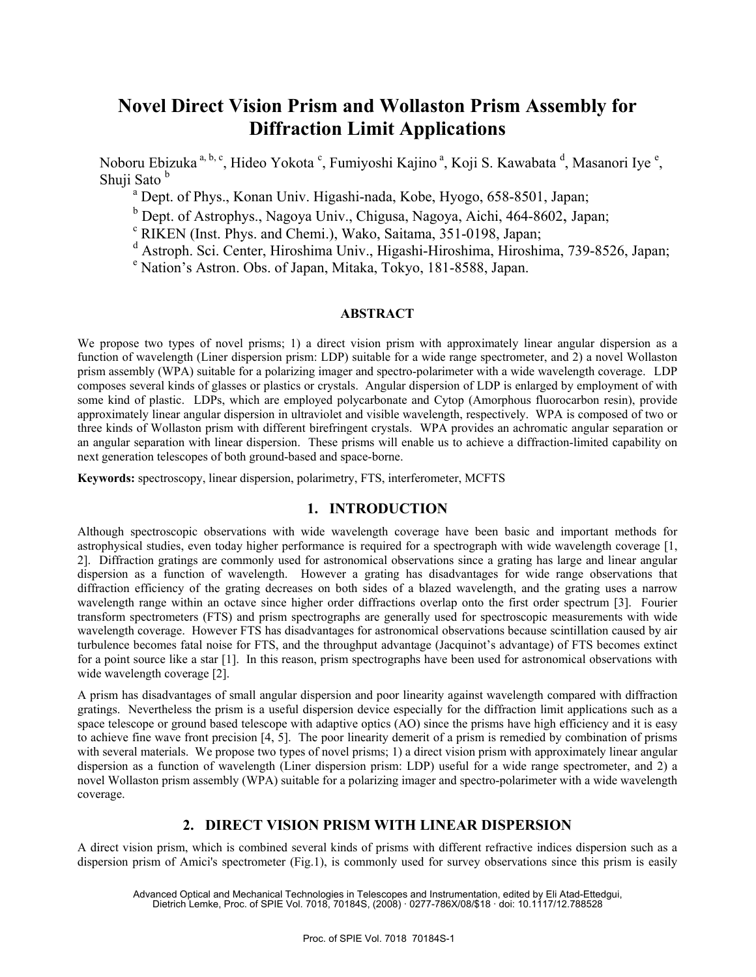# **Novel Direct Vision Prism and Wollaston Prism Assembly for Diffraction Limit Applications**

Noboru Ebizuka<sup>a, b, c</sup>, Hideo Yokota <sup>c</sup>, Fumiyoshi Kajino<sup>a</sup>, Koji S. Kawabata <sup>d</sup>, Masanori Iye <sup>e</sup>, Shuii Sato<sup>b</sup>

<sup>a</sup> Dept. of Phys., Konan Univ. Higashi-nada, Kobe, Hyogo, 658-8501, Japan;

 $\sigma^b$  Dept. of Astrophys., Nagoya Univ., Chigusa, Nagoya, Aichi, 464-8602, Japan;

RIKEN (Inst. Phys. and Chemi.), Wako, Saitama, 351-0198, Japan;

<sup>d</sup> Astroph. Sci. Center, Hiroshima Univ., Higashi-Hiroshima, Hiroshima, 739-8526, Japan;

Nation's Astron. Obs. of Japan, Mitaka, Tokyo, 181-8588, Japan.

## **ABSTRACT**

We propose two types of novel prisms; 1) a direct vision prism with approximately linear angular dispersion as a function of wavelength (Liner dispersion prism: LDP) suitable for a wide range spectrometer, and 2) a novel Wollaston prism assembly (WPA) suitable for a polarizing imager and spectro-polarimeter with a wide wavelength coverage. LDP composes several kinds of glasses or plastics or crystals. Angular dispersion of LDP is enlarged by employment of with some kind of plastic. LDPs, which are employed polycarbonate and Cytop (Amorphous fluorocarbon resin), provide approximately linear angular dispersion in ultraviolet and visible wavelength, respectively. WPA is composed of two or three kinds of Wollaston prism with different birefringent crystals. WPA provides an achromatic angular separation or an angular separation with linear dispersion. These prisms will enable us to achieve a diffraction-limited capability on next generation telescopes of both ground-based and space-borne.

**Keywords:** spectroscopy, linear dispersion, polarimetry, FTS, interferometer, MCFTS

# **1. INTRODUCTION**

Although spectroscopic observations with wide wavelength coverage have been basic and important methods for astrophysical studies, even today higher performance is required for a spectrograph with wide wavelength coverage [1, 2]. Diffraction gratings are commonly used for astronomical observations since a grating has large and linear angular dispersion as a function of wavelength. However a grating has disadvantages for wide range observations that diffraction efficiency of the grating decreases on both sides of a blazed wavelength, and the grating uses a narrow wavelength range within an octave since higher order diffractions overlap onto the first order spectrum [3]. Fourier transform spectrometers (FTS) and prism spectrographs are generally used for spectroscopic measurements with wide wavelength coverage. However FTS has disadvantages for astronomical observations because scintillation caused by air turbulence becomes fatal noise for FTS, and the throughput advantage (Jacquinot's advantage) of FTS becomes extinct for a point source like a star [1]. In this reason, prism spectrographs have been used for astronomical observations with wide wavelength coverage [2].

A prism has disadvantages of small angular dispersion and poor linearity against wavelength compared with diffraction gratings. Nevertheless the prism is a useful dispersion device especially for the diffraction limit applications such as a space telescope or ground based telescope with adaptive optics (AO) since the prisms have high efficiency and it is easy to achieve fine wave front precision [4, 5]. The poor linearity demerit of a prism is remedied by combination of prisms with several materials. We propose two types of novel prisms; 1) a direct vision prism with approximately linear angular dispersion as a function of wavelength (Liner dispersion prism: LDP) useful for a wide range spectrometer, and 2) a novel Wollaston prism assembly (WPA) suitable for a polarizing imager and spectro-polarimeter with a wide wavelength coverage.

# **2. DIRECT VISION PRISM WITH LINEAR DISPERSION**

A direct vision prism, which is combined several kinds of prisms with different refractive indices dispersion such as a dispersion prism of Amici's spectrometer (Fig.1), is commonly used for survey observations since this prism is easily

Advanced Optical and Mechanical Technologies in Telescopes and Instrumentation, edited by Eli Atad-Ettedgui, Dietrich Lemke, Proc. of SPIE Vol. 7018, 70184S, (2008) · 0277-786X/08/\$18 · doi: 10.1117/12.788528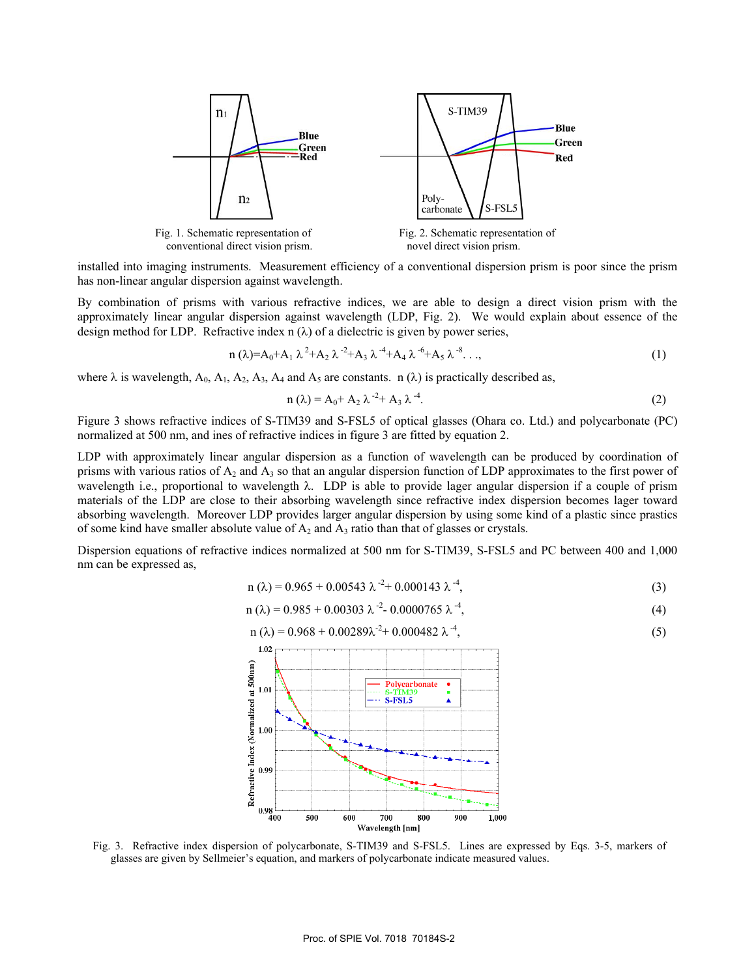

installed into imaging instruments. Measurement efficiency of a conventional dispersion prism is poor since the prism has non-linear angular dispersion against wavelength.

By combination of prisms with various refractive indices, we are able to design a direct vision prism with the approximately linear angular dispersion against wavelength (LDP, Fig. 2). We would explain about essence of the design method for LDP. Refractive index n  $(\lambda)$  of a dielectric is given by power series,

$$
n(\lambda) = A_0 + A_1 \lambda^2 + A_2 \lambda^{-2} + A_3 \lambda^{-4} + A_4 \lambda^{-6} + A_5 \lambda^{-8} \dots,
$$
\n(1)

where  $\lambda$  is wavelength, A<sub>0</sub>, A<sub>1</sub>, A<sub>2</sub>, A<sub>3</sub>, A<sub>4</sub> and A<sub>5</sub> are constants. n ( $\lambda$ ) is practically described as,

$$
n(\lambda) = A_0 + A_2 \lambda^{-2} + A_3 \lambda^{-4}.
$$
 (2)

Figure 3 shows refractive indices of S-TIM39 and S-FSL5 of optical glasses (Ohara co. Ltd.) and polycarbonate (PC) normalized at 500 nm, and ines of refractive indices in figure 3 are fitted by equation 2.

LDP with approximately linear angular dispersion as a function of wavelength can be produced by coordination of prisms with various ratios of  $A_2$  and  $A_3$  so that an angular dispersion function of LDP approximates to the first power of wavelength i.e., proportional to wavelength λ. LDP is able to provide lager angular dispersion if a couple of prism materials of the LDP are close to their absorbing wavelength since refractive index dispersion becomes lager toward absorbing wavelength. Moreover LDP provides larger angular dispersion by using some kind of a plastic since prastics of some kind have smaller absolute value of  $A_2$  and  $A_3$  ratio than that of glasses or crystals.

Dispersion equations of refractive indices normalized at 500 nm for S-TIM39, S-FSL5 and PC between 400 and 1,000 nm can be expressed as,

$$
n(\lambda) = 0.965 + 0.00543 \lambda^{-2} + 0.000143 \lambda^{-4},
$$
\n(3)

$$
n(\lambda) = 0.985 + 0.00303 \lambda^{-2} - 0.0000765 \lambda^{-4},\tag{4}
$$

$$
n(\lambda) = 0.968 + 0.00289\lambda^{-2} + 0.000482 \lambda^{-4}, \tag{5}
$$



Fig. 3. Refractive index dispersion of polycarbonate, S-TIM39 and S-FSL5. Lines are expressed by Eqs. 3-5, markers of glasses are given by Sellmeier's equation, and markers of polycarbonate indicate measured values.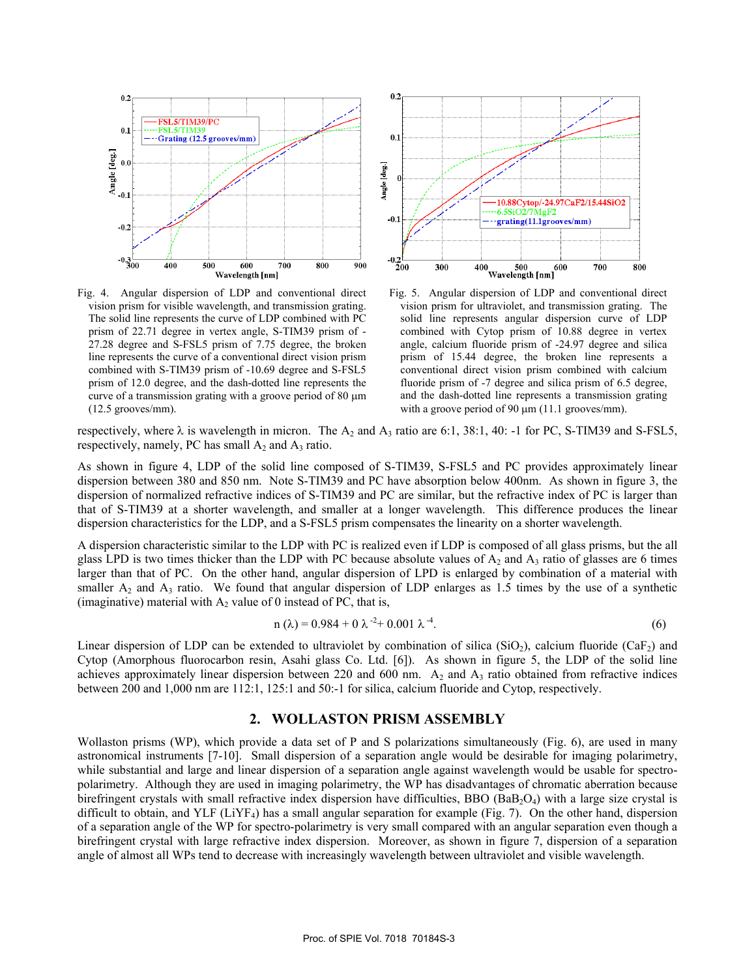

Fig. 4. Angular dispersion of LDP and conventional direct vision prism for visible wavelength, and transmission grating. The solid line represents the curve of LDP combined with PC prism of 22.71 degree in vertex angle, S-TIM39 prism of - 27.28 degree and S-FSL5 prism of 7.75 degree, the broken line represents the curve of a conventional direct vision prism combined with S-TIM39 prism of -10.69 degree and S-FSL5 prism of 12.0 degree, and the dash-dotted line represents the curve of a transmission grating with a groove period of  $80 \mu m$ (12.5 grooves/mm).



Fig. 5. Angular dispersion of LDP and conventional direct vision prism for ultraviolet, and transmission grating. The solid line represents angular dispersion curve of LDP combined with Cytop prism of 10.88 degree in vertex angle, calcium fluoride prism of -24.97 degree and silica prism of 15.44 degree, the broken line represents a conventional direct vision prism combined with calcium fluoride prism of -7 degree and silica prism of 6.5 degree, and the dash-dotted line represents a transmission grating with a groove period of 90  $\mu$ m (11.1 grooves/mm).

respectively, where  $\lambda$  is wavelength in micron. The  $A_2$  and  $A_3$  ratio are 6:1, 38:1, 40: -1 for PC, S-TIM39 and S-FSL5, respectively, namely, PC has small  $A_2$  and  $A_3$  ratio.

As shown in figure 4, LDP of the solid line composed of S-TIM39, S-FSL5 and PC provides approximately linear dispersion between 380 and 850 nm. Note S-TIM39 and PC have absorption below 400nm. As shown in figure 3, the dispersion of normalized refractive indices of S-TIM39 and PC are similar, but the refractive index of PC is larger than that of S-TIM39 at a shorter wavelength, and smaller at a longer wavelength. This difference produces the linear dispersion characteristics for the LDP, and a S-FSL5 prism compensates the linearity on a shorter wavelength.

A dispersion characteristic similar to the LDP with PC is realized even if LDP is composed of all glass prisms, but the all glass LPD is two times thicker than the LDP with PC because absolute values of  $A_2$  and  $A_3$  ratio of glasses are 6 times larger than that of PC. On the other hand, angular dispersion of LPD is enlarged by combination of a material with smaller  $A_2$  and  $A_3$  ratio. We found that angular dispersion of LDP enlarges as 1.5 times by the use of a synthetic (imaginative) material with  $A_2$  value of 0 instead of PC, that is,

$$
n(\lambda) = 0.984 + 0 \lambda^{-2} + 0.001 \lambda^{-4}.
$$
 (6)

Linear dispersion of LDP can be extended to ultraviolet by combination of silica (SiO<sub>2</sub>), calcium fluoride (CaF<sub>2</sub>) and Cytop (Amorphous fluorocarbon resin, Asahi glass Co. Ltd. [6]). As shown in figure 5, the LDP of the solid line achieves approximately linear dispersion between 220 and 600 nm.  $A_2$  and  $A_3$  ratio obtained from refractive indices between 200 and 1,000 nm are 112:1, 125:1 and 50:-1 for silica, calcium fluoride and Cytop, respectively.

## **2. WOLLASTON PRISM ASSEMBLY**

Wollaston prisms (WP), which provide a data set of P and S polarizations simultaneously (Fig. 6), are used in many astronomical instruments [7-10]. Small dispersion of a separation angle would be desirable for imaging polarimetry, while substantial and large and linear dispersion of a separation angle against wavelength would be usable for spectropolarimetry. Although they are used in imaging polarimetry, the WP has disadvantages of chromatic aberration because birefringent crystals with small refractive index dispersion have difficulties, BBO ( $BAB_2O_4$ ) with a large size crystal is difficult to obtain, and YLF ( $LiYF_4$ ) has a small angular separation for example (Fig. 7). On the other hand, dispersion of a separation angle of the WP for spectro-polarimetry is very small compared with an angular separation even though a birefringent crystal with large refractive index dispersion. Moreover, as shown in figure 7, dispersion of a separation angle of almost all WPs tend to decrease with increasingly wavelength between ultraviolet and visible wavelength.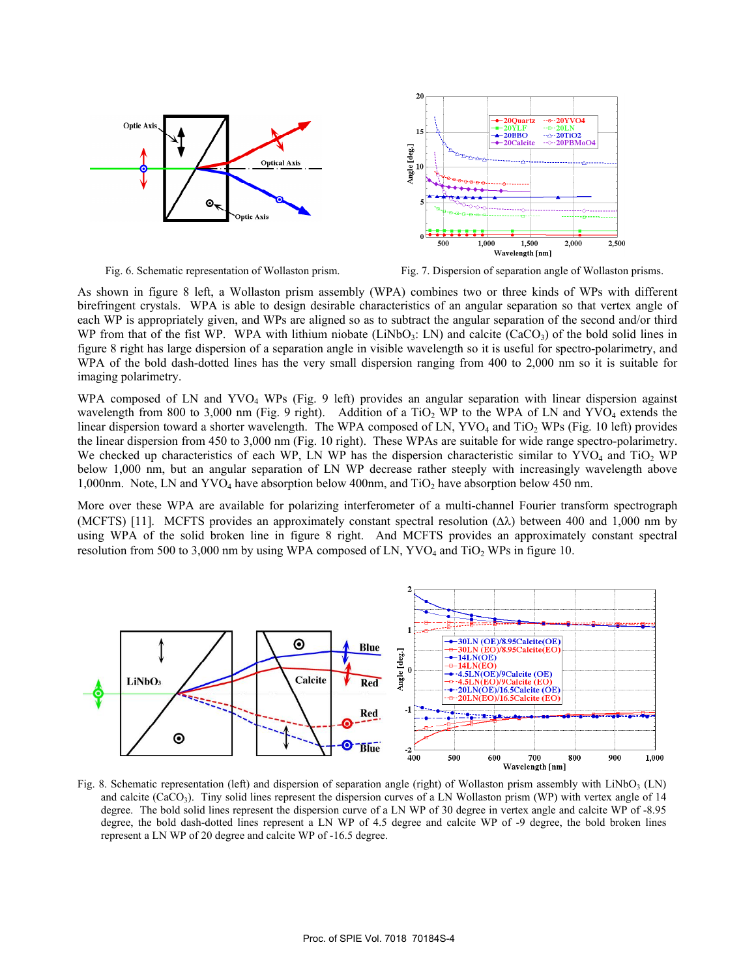

Fig. 6. Schematic representation of Wollaston prism. Fig. 7. Dispersion of separation angle of Wollaston prisms.

As shown in figure 8 left, a Wollaston prism assembly (WPA) combines two or three kinds of WPs with different birefringent crystals. WPA is able to design desirable characteristics of an angular separation so that vertex angle of each WP is appropriately given, and WPs are aligned so as to subtract the angular separation of the second and/or third WP from that of the fist WP. WPA with lithium niobate (LiNbO<sub>3</sub>: LN) and calcite (CaCO<sub>3</sub>) of the bold solid lines in figure 8 right has large dispersion of a separation angle in visible wavelength so it is useful for spectro-polarimetry, and WPA of the bold dash-dotted lines has the very small dispersion ranging from 400 to 2,000 nm so it is suitable for imaging polarimetry.

WPA composed of LN and YVO<sub>4</sub> WPs (Fig. 9 left) provides an angular separation with linear dispersion against wavelength from 800 to 3,000 nm (Fig. 9 right). Addition of a  $TiO<sub>2</sub>$  WP to the WPA of LN and YVO<sub>4</sub> extends the linear dispersion toward a shorter wavelength. The WPA composed of LN,  $\text{YVO}_4$  and  $\text{TiO}_2$  WPs (Fig. 10 left) provides the linear dispersion from 450 to 3,000 nm (Fig. 10 right). These WPAs are suitable for wide range spectro-polarimetry. We checked up characteristics of each WP, LN WP has the dispersion characteristic similar to YVO<sub>4</sub> and TiO<sub>2</sub> WP below 1,000 nm, but an angular separation of LN WP decrease rather steeply with increasingly wavelength above 1,000nm. Note, LN and  $\text{YVO}_4$  have absorption below 400nm, and TiO<sub>2</sub> have absorption below 450 nm.

More over these WPA are available for polarizing interferometer of a multi-channel Fourier transform spectrograph (MCFTS) [11]. MCFTS provides an approximately constant spectral resolution (∆λ) between 400 and 1,000 nm by using WPA of the solid broken line in figure 8 right. And MCFTS provides an approximately constant spectral resolution from 500 to 3,000 nm by using WPA composed of LN,  $\text{YVO}_4$  and  $\text{TiO}_2$  WPs in figure 10.



Fig. 8. Schematic representation (left) and dispersion of separation angle (right) of Wollaston prism assembly with  $LiNbO<sub>3</sub>$  (LN) and calcite (CaCO<sub>3</sub>). Tiny solid lines represent the dispersion curves of a LN Wollaston prism (WP) with vertex angle of 14 degree. The bold solid lines represent the dispersion curve of a LN WP of 30 degree in vertex angle and calcite WP of -8.95 degree, the bold dash-dotted lines represent a LN WP of 4.5 degree and calcite WP of -9 degree, the bold broken lines represent a LN WP of 20 degree and calcite WP of -16.5 degree.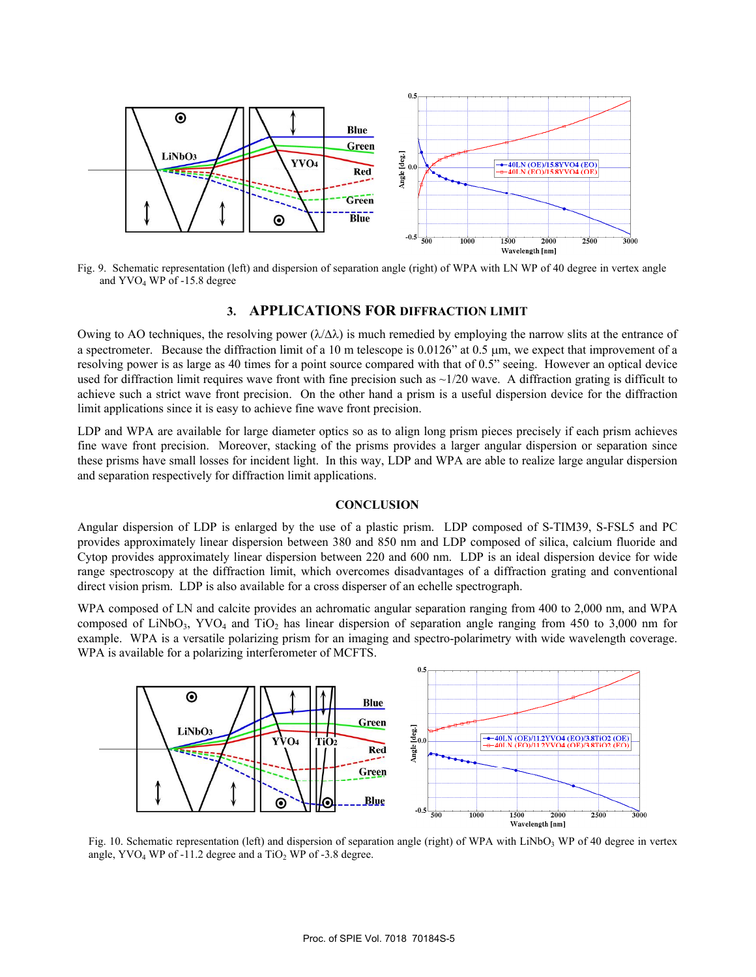

Fig. 9. Schematic representation (left) and dispersion of separation angle (right) of WPA with LN WP of 40 degree in vertex angle and YVO4 WP of -15.8 degree

#### **3. APPLICATIONS FOR DIFFRACTION LIMIT**

Owing to AO techniques, the resolving power  $(\lambda/\Delta\lambda)$  is much remedied by employing the narrow slits at the entrance of a spectrometer. Because the diffraction limit of a 10 m telescope is 0.0126" at 0.5 µm, we expect that improvement of a resolving power is as large as 40 times for a point source compared with that of 0.5" seeing. However an optical device used for diffraction limit requires wave front with fine precision such as  $\sim$ 1/20 wave. A diffraction grating is difficult to achieve such a strict wave front precision. On the other hand a prism is a useful dispersion device for the diffraction limit applications since it is easy to achieve fine wave front precision.

LDP and WPA are available for large diameter optics so as to align long prism pieces precisely if each prism achieves fine wave front precision. Moreover, stacking of the prisms provides a larger angular dispersion or separation since these prisms have small losses for incident light. In this way, LDP and WPA are able to realize large angular dispersion and separation respectively for diffraction limit applications.

### **CONCLUSION**

Angular dispersion of LDP is enlarged by the use of a plastic prism. LDP composed of S-TIM39, S-FSL5 and PC provides approximately linear dispersion between 380 and 850 nm and LDP composed of silica, calcium fluoride and Cytop provides approximately linear dispersion between 220 and 600 nm. LDP is an ideal dispersion device for wide range spectroscopy at the diffraction limit, which overcomes disadvantages of a diffraction grating and conventional direct vision prism. LDP is also available for a cross disperser of an echelle spectrograph.

WPA composed of LN and calcite provides an achromatic angular separation ranging from 400 to 2,000 nm, and WPA composed of LiNbO<sub>3</sub>, YVO<sub>4</sub> and TiO<sub>2</sub> has linear dispersion of separation angle ranging from 450 to 3,000 nm for example. WPA is a versatile polarizing prism for an imaging and spectro-polarimetry with wide wavelength coverage. WPA is available for a polarizing interferometer of MCFTS.



Fig. 10. Schematic representation (left) and dispersion of separation angle (right) of WPA with LiNbO<sub>3</sub> WP of 40 degree in vertex angle,  $\text{YVO}_4$  WP of -11.2 degree and a TiO<sub>2</sub> WP of -3.8 degree.